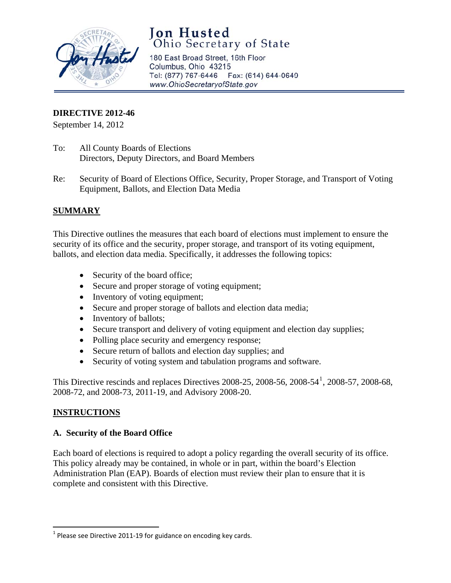

# **Jon Husted**<br>Ohio Secretary of State

180 East Broad Street, 16th Floor Columbus, Ohio 43215 Tel: (877) 767-6446 Fax: (614) 644-0649 www.OhioSecretaryofState.gov

## **DIRECTIVE 2012-46**

September 14, 2012

- To: All County Boards of Elections Directors, Deputy Directors, and Board Members
- Re: Security of Board of Elections Office, Security, Proper Storage, and Transport of Voting Equipment, Ballots, and Election Data Media

# **SUMMARY**

This Directive outlines the measures that each board of elections must implement to ensure the security of its office and the security, proper storage, and transport of its voting equipment, ballots, and election data media. Specifically, it addresses the following topics:

- Security of the board office;
- Secure and proper storage of voting equipment;
- Inventory of voting equipment;
- Secure and proper storage of ballots and election data media;
- Inventory of ballots;
- Secure transport and delivery of voting equipment and election day supplies;
- Polling place security and emergency response;
- Secure return of ballots and election day supplies; and
- Security of voting system and tabulation programs and software.

This Directive rescinds and replaces Directives 2008-25, 2008-56, 2008-54<sup>[1](#page-0-0)</sup>, 2008-57, 2008-68, 2008-72, and 2008-73, 2011-19, and Advisory 2008-20.

# **INSTRUCTIONS**

#### **A. Security of the Board Office**

Each board of elections is required to adopt a policy regarding the overall security of its office. This policy already may be contained, in whole or in part, within the board's Election Administration Plan (EAP). Boards of election must review their plan to ensure that it is complete and consistent with this Directive.

<span id="page-0-0"></span> $1$  Please see Directive 2011-19 for guidance on encoding key cards.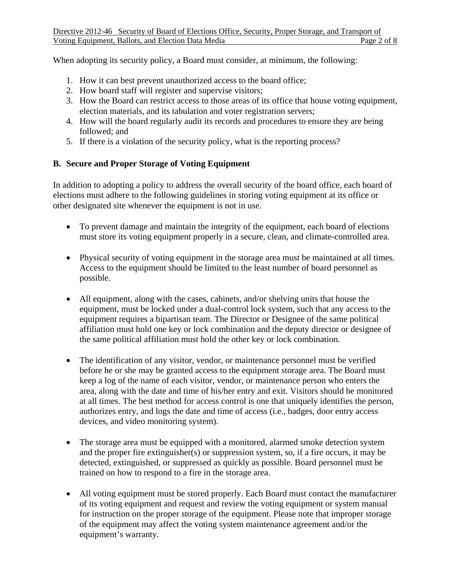When adopting its security policy, a Board must consider, at minimum, the following:

- 1. How it can best prevent unauthorized access to the board office;
- 2. How board staff will register and supervise visitors;
- 3. How the Board can restrict access to those areas of its office that house voting equipment, election materials, and its tabulation and voter registration servers;
- 4. How will the board regularly audit its records and procedures to ensure they are being followed; and
- 5. If there is a violation of the security policy, what is the reporting process?

#### **B. Secure and Proper Storage of Voting Equipment**

In addition to adopting a policy to address the overall security of the board office, each board of elections must adhere to the following guidelines in storing voting equipment at its office or other designated site whenever the equipment is not in use.

- To prevent damage and maintain the integrity of the equipment, each board of elections must store its voting equipment properly in a secure, clean, and climate-controlled area.
- Physical security of voting equipment in the storage area must be maintained at all times. Access to the equipment should be limited to the least number of board personnel as possible.
- All equipment, along with the cases, cabinets, and/or shelving units that house the equipment, must be locked under a dual-control lock system, such that any access to the equipment requires a bipartisan team. The Director or Designee of the same political affiliation must hold one key or lock combination and the deputy director or designee of the same political affiliation must hold the other key or lock combination.
- The identification of any visitor, vendor, or maintenance personnel must be verified before he or she may be granted access to the equipment storage area. The Board must keep a log of the name of each visitor, vendor, or maintenance person who enters the area, along with the date and time of his/her entry and exit. Visitors should be monitored at all times. The best method for access control is one that uniquely identifies the person, authorizes entry, and logs the date and time of access (i.e., badges, door entry access devices, and video monitoring system).
- The storage area must be equipped with a monitored, alarmed smoke detection system and the proper fire extinguisher(s) or suppression system, so, if a fire occurs, it may be detected, extinguished, or suppressed as quickly as possible. Board personnel must be trained on how to respond to a fire in the storage area.
- All voting equipment must be stored properly. Each Board must contact the manufacturer of its voting equipment and request and review the voting equipment or system manual for instruction on the proper storage of the equipment. Please note that improper storage of the equipment may affect the voting system maintenance agreement and/or the equipment's warranty.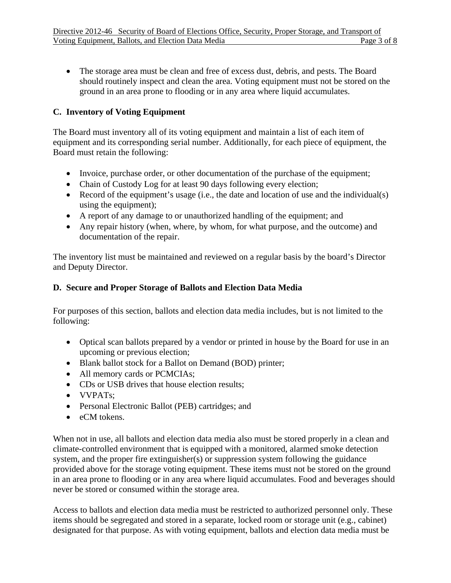• The storage area must be clean and free of excess dust, debris, and pests. The Board should routinely inspect and clean the area. Voting equipment must not be stored on the ground in an area prone to flooding or in any area where liquid accumulates.

## **C. Inventory of Voting Equipment**

The Board must inventory all of its voting equipment and maintain a list of each item of equipment and its corresponding serial number. Additionally, for each piece of equipment, the Board must retain the following:

- Invoice, purchase order, or other documentation of the purchase of the equipment;
- Chain of Custody Log for at least 90 days following every election;
- Record of the equipment's usage (i.e., the date and location of use and the individual(s) using the equipment);
- A report of any damage to or unauthorized handling of the equipment; and
- Any repair history (when, where, by whom, for what purpose, and the outcome) and documentation of the repair.

The inventory list must be maintained and reviewed on a regular basis by the board's Director and Deputy Director.

#### **D. Secure and Proper Storage of Ballots and Election Data Media**

For purposes of this section, ballots and election data media includes, but is not limited to the following:

- Optical scan ballots prepared by a vendor or printed in house by the Board for use in an upcoming or previous election;
- Blank ballot stock for a Ballot on Demand (BOD) printer;
- All memory cards or PCMCIAs;
- CDs or USB drives that house election results;
- VVPATs;
- Personal Electronic Ballot (PEB) cartridges; and
- eCM tokens.

When not in use, all ballots and election data media also must be stored properly in a clean and climate-controlled environment that is equipped with a monitored, alarmed smoke detection system, and the proper fire extinguisher(s) or suppression system following the guidance provided above for the storage voting equipment. These items must not be stored on the ground in an area prone to flooding or in any area where liquid accumulates. Food and beverages should never be stored or consumed within the storage area.

Access to ballots and election data media must be restricted to authorized personnel only. These items should be segregated and stored in a separate, locked room or storage unit (e.g., cabinet) designated for that purpose. As with voting equipment, ballots and election data media must be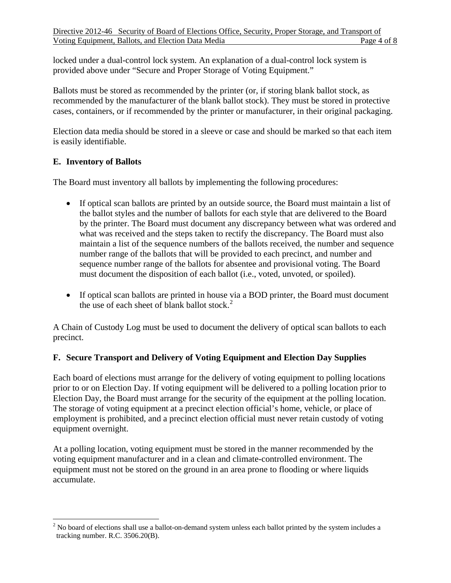locked under a dual-control lock system. An explanation of a dual-control lock system is provided above under "Secure and Proper Storage of Voting Equipment."

Ballots must be stored as recommended by the printer (or, if storing blank ballot stock, as recommended by the manufacturer of the blank ballot stock). They must be stored in protective cases, containers, or if recommended by the printer or manufacturer, in their original packaging.

Election data media should be stored in a sleeve or case and should be marked so that each item is easily identifiable.

#### **E. Inventory of Ballots**

The Board must inventory all ballots by implementing the following procedures:

- If optical scan ballots are printed by an outside source, the Board must maintain a list of the ballot styles and the number of ballots for each style that are delivered to the Board by the printer. The Board must document any discrepancy between what was ordered and what was received and the steps taken to rectify the discrepancy. The Board must also maintain a list of the sequence numbers of the ballots received, the number and sequence number range of the ballots that will be provided to each precinct, and number and sequence number range of the ballots for absentee and provisional voting. The Board must document the disposition of each ballot (i.e., voted, unvoted, or spoiled).
- If optical scan ballots are printed in house via a BOD printer, the Board must document the use of each sheet of blank ballot stock. $2$

A Chain of Custody Log must be used to document the delivery of optical scan ballots to each precinct.

#### **F. Secure Transport and Delivery of Voting Equipment and Election Day Supplies**

Each board of elections must arrange for the delivery of voting equipment to polling locations prior to or on Election Day. If voting equipment will be delivered to a polling location prior to Election Day, the Board must arrange for the security of the equipment at the polling location. The storage of voting equipment at a precinct election official's home, vehicle, or place of employment is prohibited, and a precinct election official must never retain custody of voting equipment overnight.

At a polling location, voting equipment must be stored in the manner recommended by the voting equipment manufacturer and in a clean and climate-controlled environment. The equipment must not be stored on the ground in an area prone to flooding or where liquids accumulate.

<span id="page-3-0"></span> $2$  No board of elections shall use a ballot-on-demand system unless each ballot printed by the system includes a tracking number. R.C. 3506.20(B).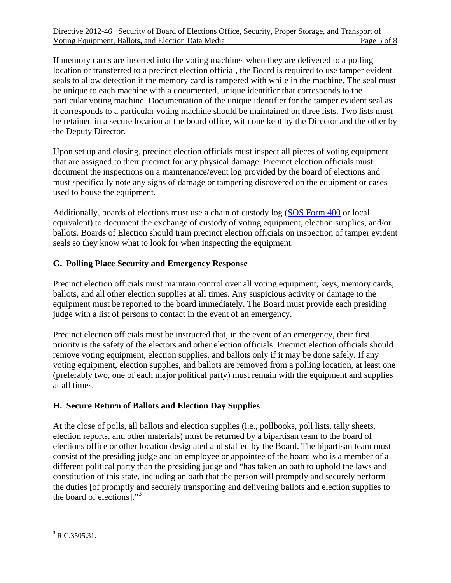If memory cards are inserted into the voting machines when they are delivered to a polling location or transferred to a precinct election official, the Board is required to use tamper evident seals to allow detection if the memory card is tampered with while in the machine. The seal must be unique to each machine with a documented, unique identifier that corresponds to the particular voting machine. Documentation of the unique identifier for the tamper evident seal as it corresponds to a particular voting machine should be maintained on three lists. Two lists must be retained in a secure location at the board office, with one kept by the Director and the other by the Deputy Director.

Upon set up and closing, precinct election officials must inspect all pieces of voting equipment that are assigned to their precinct for any physical damage. Precinct election officials must document the inspections on a maintenance/event log provided by the board of elections and must specifically note any signs of damage or tampering discovered on the equipment or cases used to house the equipment.

Additionally, boards of elections must use a chain of custody log ([SOS Form 400](http://www.sos.state.oh.us/sos/upload/elections/forms/400.pdf) or local equivalent) to document the exchange of custody of voting equipment, election supplies, and/or ballots. Boards of Election should train precinct election officials on inspection of tamper evident seals so they know what to look for when inspecting the equipment.

# **G. Polling Place Security and Emergency Response**

Precinct election officials must maintain control over all voting equipment, keys, memory cards, ballots, and all other election supplies at all times. Any suspicious activity or damage to the equipment must be reported to the board immediately. The Board must provide each presiding judge with a list of persons to contact in the event of an emergency.

Precinct election officials must be instructed that, in the event of an emergency, their first priority is the safety of the electors and other election officials. Precinct election officials should remove voting equipment, election supplies, and ballots only if it may be done safely. If any voting equipment, election supplies, and ballots are removed from a polling location, at least one (preferably two, one of each major political party) must remain with the equipment and supplies at all times.

#### **H. Secure Return of Ballots and Election Day Supplies**

At the close of polls, all ballots and election supplies (i.e., pollbooks, poll lists, tally sheets, election reports, and other materials) must be returned by a bipartisan team to the board of elections office or other location designated and staffed by the Board. The bipartisan team must consist of the presiding judge and an employee or appointee of the board who is a member of a different political party than the presiding judge and "has taken an oath to uphold the laws and constitution of this state, including an oath that the person will promptly and securely perform the duties [of promptly and securely transporting and delivering ballots and election supplies to the board of elections]."<sup>[3](#page-4-0)</sup>

<span id="page-4-0"></span>  $3$  R.C.3505.31.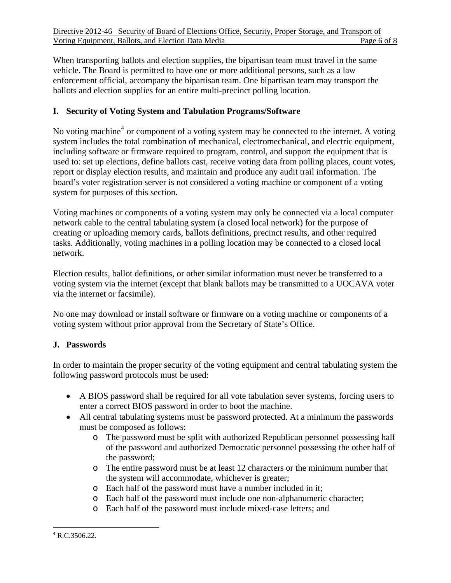When transporting ballots and election supplies, the bipartisan team must travel in the same vehicle. The Board is permitted to have one or more additional persons, such as a law enforcement official, accompany the bipartisan team. One bipartisan team may transport the ballots and election supplies for an entire multi-precinct polling location.

## **I. Security of Voting System and Tabulation Programs/Software**

No voting machine<sup>[4](#page-5-0)</sup> or component of a voting system may be connected to the internet. A voting system includes the total combination of mechanical, electromechanical, and electric equipment, including software or firmware required to program, control, and support the equipment that is used to: set up elections, define ballots cast, receive voting data from polling places, count votes, report or display election results, and maintain and produce any audit trail information. The board's voter registration server is not considered a voting machine or component of a voting system for purposes of this section.

Voting machines or components of a voting system may only be connected via a local computer network cable to the central tabulating system (a closed local network) for the purpose of creating or uploading memory cards, ballots definitions, precinct results, and other required tasks. Additionally, voting machines in a polling location may be connected to a closed local network.

Election results, ballot definitions, or other similar information must never be transferred to a voting system via the internet (except that blank ballots may be transmitted to a UOCAVA voter via the internet or facsimile).

No one may download or install software or firmware on a voting machine or components of a voting system without prior approval from the Secretary of State's Office.

#### **J. Passwords**

In order to maintain the proper security of the voting equipment and central tabulating system the following password protocols must be used:

- A BIOS password shall be required for all vote tabulation sever systems, forcing users to enter a correct BIOS password in order to boot the machine.
- All central tabulating systems must be password protected. At a minimum the passwords must be composed as follows:
	- o The password must be split with authorized Republican personnel possessing half of the password and authorized Democratic personnel possessing the other half of the password;
	- o The entire password must be at least 12 characters or the minimum number that the system will accommodate, whichever is greater;
	- o Each half of the password must have a number included in it;
	- o Each half of the password must include one non-alphanumeric character;
	- o Each half of the password must include mixed-case letters; and

<span id="page-5-0"></span>  $4$  R.C.3506.22.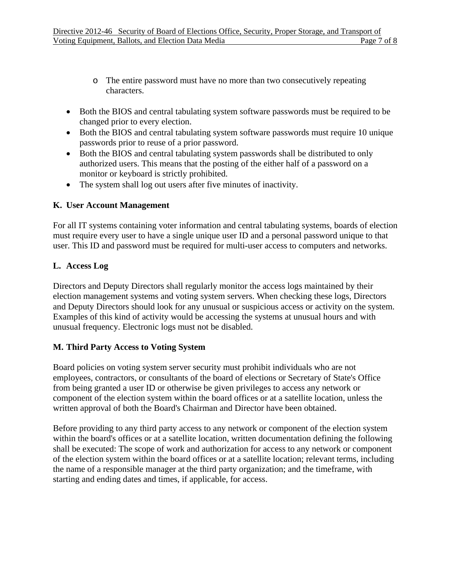- o The entire password must have no more than two consecutively repeating characters.
- Both the BIOS and central tabulating system software passwords must be required to be changed prior to every election.
- Both the BIOS and central tabulating system software passwords must require 10 unique passwords prior to reuse of a prior password.
- Both the BIOS and central tabulating system passwords shall be distributed to only authorized users. This means that the posting of the either half of a password on a monitor or keyboard is strictly prohibited.
- The system shall log out users after five minutes of inactivity.

#### **K. User Account Management**

For all IT systems containing voter information and central tabulating systems, boards of election must require every user to have a single unique user ID and a personal password unique to that user. This ID and password must be required for multi-user access to computers and networks.

#### **L. Access Log**

Directors and Deputy Directors shall regularly monitor the access logs maintained by their election management systems and voting system servers. When checking these logs, Directors and Deputy Directors should look for any unusual or suspicious access or activity on the system. Examples of this kind of activity would be accessing the systems at unusual hours and with unusual frequency. Electronic logs must not be disabled.

#### **M. Third Party Access to Voting System**

Board policies on voting system server security must prohibit individuals who are not employees, contractors, or consultants of the board of elections or Secretary of State's Office from being granted a user ID or otherwise be given privileges to access any network or component of the election system within the board offices or at a satellite location, unless the written approval of both the Board's Chairman and Director have been obtained.

Before providing to any third party access to any network or component of the election system within the board's offices or at a satellite location, written documentation defining the following shall be executed: The scope of work and authorization for access to any network or component of the election system within the board offices or at a satellite location; relevant terms, including the name of a responsible manager at the third party organization; and the timeframe, with starting and ending dates and times, if applicable, for access.